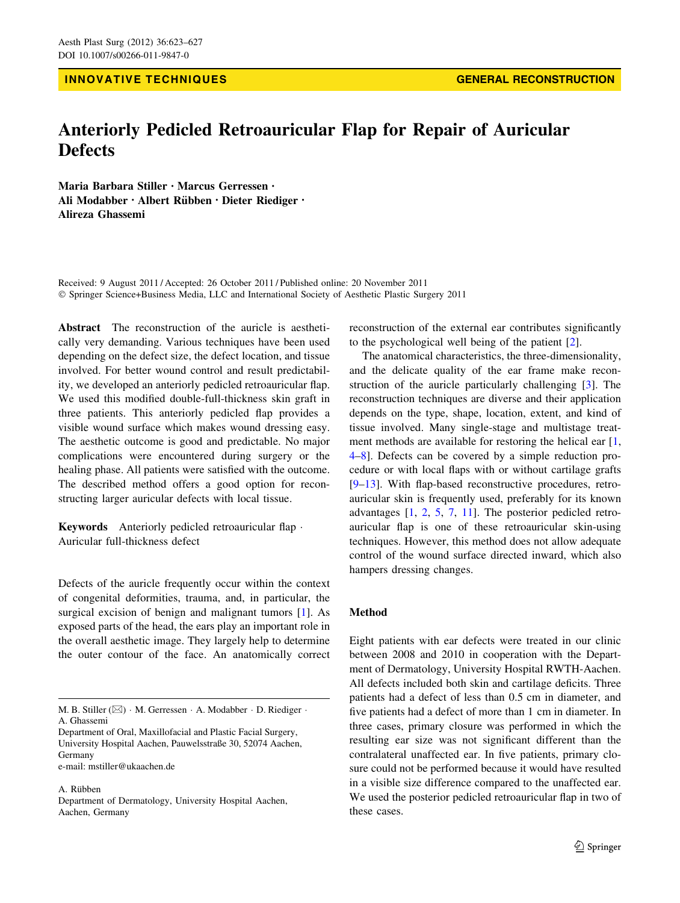# INNOVATIVE TECHNIQUES GENERAL RECONSTRUCTION

# Anteriorly Pedicled Retroauricular Flap for Repair of Auricular **Defects**

Maria Barbara Stiller • Marcus Gerressen • Ali Modabber · Albert Rübben · Dieter Riediger · Alireza Ghassemi

Received: 9 August 2011 / Accepted: 26 October 2011 / Published online: 20 November 2011 - Springer Science+Business Media, LLC and International Society of Aesthetic Plastic Surgery 2011

Abstract The reconstruction of the auricle is aesthetically very demanding. Various techniques have been used depending on the defect size, the defect location, and tissue involved. For better wound control and result predictability, we developed an anteriorly pedicled retroauricular flap. We used this modified double-full-thickness skin graft in three patients. This anteriorly pedicled flap provides a visible wound surface which makes wound dressing easy. The aesthetic outcome is good and predictable. No major complications were encountered during surgery or the healing phase. All patients were satisfied with the outcome. The described method offers a good option for reconstructing larger auricular defects with local tissue.

Keywords Anteriorly pedicled retroauricular flap . Auricular full-thickness defect

Defects of the auricle frequently occur within the context of congenital deformities, trauma, and, in particular, the surgical excision of benign and malignant tumors [[1\]](#page-3-0). As exposed parts of the head, the ears play an important role in the overall aesthetic image. They largely help to determine the outer contour of the face. An anatomically correct

A. Riibben

reconstruction of the external ear contributes significantly to the psychological well being of the patient [\[2](#page-3-0)].

The anatomical characteristics, the three-dimensionality, and the delicate quality of the ear frame make reconstruction of the auricle particularly challenging [\[3](#page-3-0)]. The reconstruction techniques are diverse and their application depends on the type, shape, location, extent, and kind of tissue involved. Many single-stage and multistage treat-ment methods are available for restoring the helical ear [[1,](#page-3-0) [4–8](#page-3-0)]. Defects can be covered by a simple reduction procedure or with local flaps with or without cartilage grafts [\[9](#page-3-0)[–13](#page-4-0)]. With flap-based reconstructive procedures, retroauricular skin is frequently used, preferably for its known advantages [\[1](#page-3-0), [2,](#page-3-0) [5](#page-3-0), [7,](#page-3-0) [11\]](#page-3-0). The posterior pedicled retroauricular flap is one of these retroauricular skin-using techniques. However, this method does not allow adequate control of the wound surface directed inward, which also hampers dressing changes.

### Method

Eight patients with ear defects were treated in our clinic between 2008 and 2010 in cooperation with the Department of Dermatology, University Hospital RWTH-Aachen. All defects included both skin and cartilage deficits. Three patients had a defect of less than 0.5 cm in diameter, and five patients had a defect of more than 1 cm in diameter. In three cases, primary closure was performed in which the resulting ear size was not significant different than the contralateral unaffected ear. In five patients, primary closure could not be performed because it would have resulted in a visible size difference compared to the unaffected ear. We used the posterior pedicled retroauricular flap in two of these cases.

M. B. Stiller (⊠) · M. Gerressen · A. Modabber · D. Riediger · A. Ghassemi

Department of Oral, Maxillofacial and Plastic Facial Surgery, University Hospital Aachen, Pauwelsstraße 30, 52074 Aachen, Germany e-mail: mstiller@ukaachen.de

Department of Dermatology, University Hospital Aachen, Aachen, Germany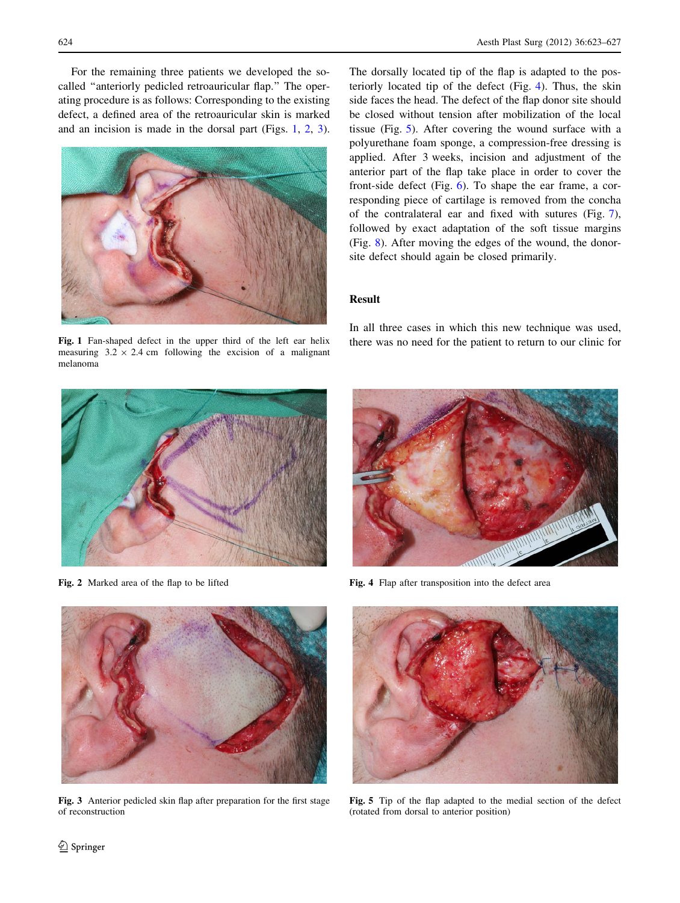For the remaining three patients we developed the socalled ''anteriorly pedicled retroauricular flap.'' The operating procedure is as follows: Corresponding to the existing defect, a defined area of the retroauricular skin is marked and an incision is made in the dorsal part (Figs. 1, 2, 3).



measuring  $3.2 \times 2.4$  cm following the excision of a malignant melanoma

The dorsally located tip of the flap is adapted to the posteriorly located tip of the defect (Fig. 4). Thus, the skin side faces the head. The defect of the flap donor site should be closed without tension after mobilization of the local tissue (Fig. 5). After covering the wound surface with a polyurethane foam sponge, a compression-free dressing is applied. After 3 weeks, incision and adjustment of the anterior part of the flap take place in order to cover the front-side defect (Fig. [6](#page-2-0)). To shape the ear frame, a corresponding piece of cartilage is removed from the concha of the contralateral ear and fixed with sutures (Fig. [7](#page-2-0)), followed by exact adaptation of the soft tissue margins (Fig. [8\)](#page-2-0). After moving the edges of the wound, the donorsite defect should again be closed primarily.

# Result

In all three cases in which this new technique was used, Fig. 1 Fan-shaped defect in the upper third of the left ear helix there was no need for the patient to return to our clinic for



Fig. 2 Marked area of the flap to be lifted



Fig. 4 Flap after transposition into the defect area



Fig. 3 Anterior pedicled skin flap after preparation for the first stage of reconstruction



Fig. 5 Tip of the flap adapted to the medial section of the defect (rotated from dorsal to anterior position)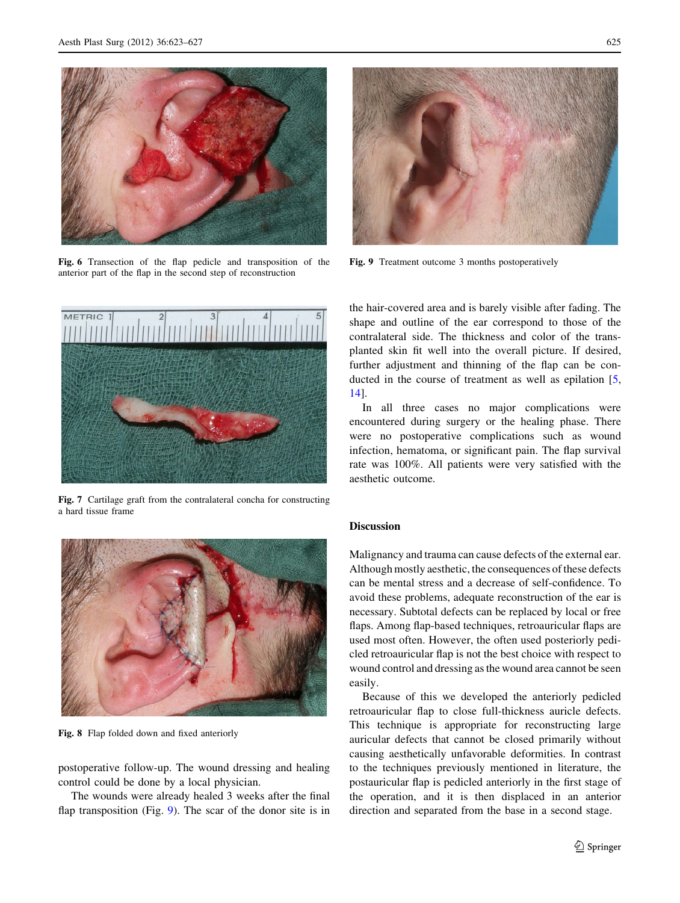<span id="page-2-0"></span>

Fig. 6 Transection of the flap pedicle and transposition of the anterior part of the flap in the second step of reconstruction



Fig. 7 Cartilage graft from the contralateral concha for constructing a hard tissue frame



Fig. 8 Flap folded down and fixed anteriorly

postoperative follow-up. The wound dressing and healing control could be done by a local physician.

The wounds were already healed 3 weeks after the final flap transposition (Fig. 9). The scar of the donor site is in



Fig. 9 Treatment outcome 3 months postoperatively

the hair-covered area and is barely visible after fading. The shape and outline of the ear correspond to those of the contralateral side. The thickness and color of the transplanted skin fit well into the overall picture. If desired, further adjustment and thinning of the flap can be con-ducted in the course of treatment as well as epilation [[5,](#page-3-0) [14](#page-4-0)].

In all three cases no major complications were encountered during surgery or the healing phase. There were no postoperative complications such as wound infection, hematoma, or significant pain. The flap survival rate was 100%. All patients were very satisfied with the aesthetic outcome.

#### **Discussion**

Malignancy and trauma can cause defects of the external ear. Although mostly aesthetic, the consequences of these defects can be mental stress and a decrease of self-confidence. To avoid these problems, adequate reconstruction of the ear is necessary. Subtotal defects can be replaced by local or free flaps. Among flap-based techniques, retroauricular flaps are used most often. However, the often used posteriorly pedicled retroauricular flap is not the best choice with respect to wound control and dressing as the wound area cannot be seen easily.

Because of this we developed the anteriorly pedicled retroauricular flap to close full-thickness auricle defects. This technique is appropriate for reconstructing large auricular defects that cannot be closed primarily without causing aesthetically unfavorable deformities. In contrast to the techniques previously mentioned in literature, the postauricular flap is pedicled anteriorly in the first stage of the operation, and it is then displaced in an anterior direction and separated from the base in a second stage.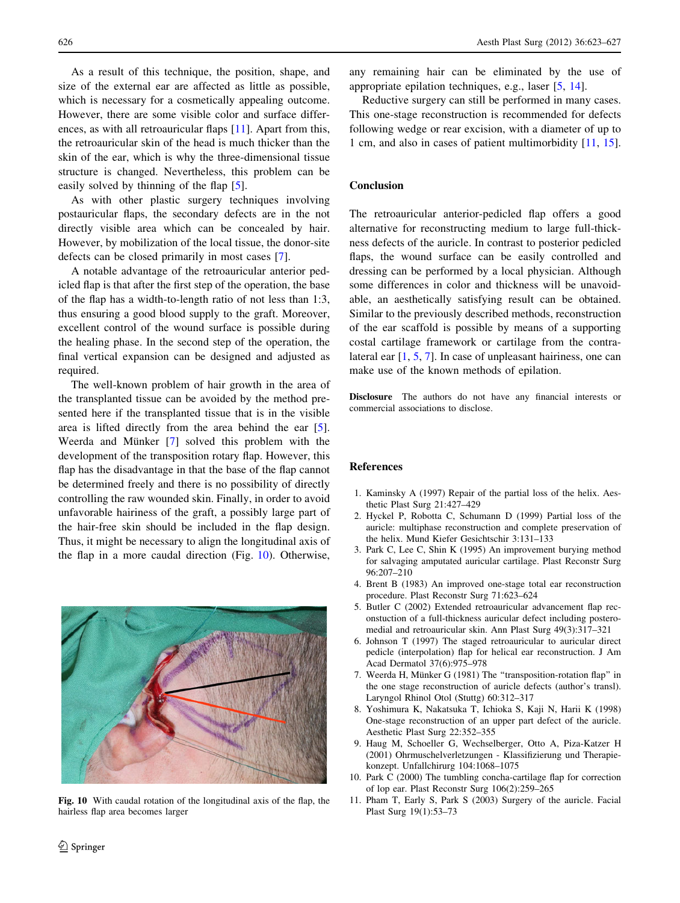<span id="page-3-0"></span>As a result of this technique, the position, shape, and size of the external ear are affected as little as possible, which is necessary for a cosmetically appealing outcome. However, there are some visible color and surface differences, as with all retroauricular flaps [11]. Apart from this, the retroauricular skin of the head is much thicker than the skin of the ear, which is why the three-dimensional tissue structure is changed. Nevertheless, this problem can be easily solved by thinning of the flap [5].

As with other plastic surgery techniques involving postauricular flaps, the secondary defects are in the not directly visible area which can be concealed by hair. However, by mobilization of the local tissue, the donor-site defects can be closed primarily in most cases [7].

A notable advantage of the retroauricular anterior pedicled flap is that after the first step of the operation, the base of the flap has a width-to-length ratio of not less than 1:3, thus ensuring a good blood supply to the graft. Moreover, excellent control of the wound surface is possible during the healing phase. In the second step of the operation, the final vertical expansion can be designed and adjusted as required.

The well-known problem of hair growth in the area of the transplanted tissue can be avoided by the method presented here if the transplanted tissue that is in the visible area is lifted directly from the area behind the ear [5]. Weerda and Münker  $[7]$  solved this problem with the development of the transposition rotary flap. However, this flap has the disadvantage in that the base of the flap cannot be determined freely and there is no possibility of directly controlling the raw wounded skin. Finally, in order to avoid unfavorable hairiness of the graft, a possibly large part of the hair-free skin should be included in the flap design. Thus, it might be necessary to align the longitudinal axis of the flap in a more caudal direction (Fig. 10). Otherwise,



Fig. 10 With caudal rotation of the longitudinal axis of the flap, the hairless flap area becomes larger

any remaining hair can be eliminated by the use of appropriate epilation techniques, e.g., laser [5, [14\]](#page-4-0).

Reductive surgery can still be performed in many cases. This one-stage reconstruction is recommended for defects following wedge or rear excision, with a diameter of up to 1 cm, and also in cases of patient multimorbidity [11, [15](#page-4-0)].

## Conclusion

The retroauricular anterior-pedicled flap offers a good alternative for reconstructing medium to large full-thickness defects of the auricle. In contrast to posterior pedicled flaps, the wound surface can be easily controlled and dressing can be performed by a local physician. Although some differences in color and thickness will be unavoidable, an aesthetically satisfying result can be obtained. Similar to the previously described methods, reconstruction of the ear scaffold is possible by means of a supporting costal cartilage framework or cartilage from the contralateral ear [1, 5, 7]. In case of unpleasant hairiness, one can make use of the known methods of epilation.

Disclosure The authors do not have any financial interests or commercial associations to disclose.

#### References

- 1. Kaminsky A (1997) Repair of the partial loss of the helix. Aesthetic Plast Surg 21:427–429
- 2. Hyckel P, Robotta C, Schumann D (1999) Partial loss of the auricle: multiphase reconstruction and complete preservation of the helix. Mund Kiefer Gesichtschir 3:131–133
- 3. Park C, Lee C, Shin K (1995) An improvement burying method for salvaging amputated auricular cartilage. Plast Reconstr Surg 96:207–210
- 4. Brent B (1983) An improved one-stage total ear reconstruction procedure. Plast Reconstr Surg 71:623–624
- 5. Butler C (2002) Extended retroauricular advancement flap reconstuction of a full-thickness auricular defect including posteromedial and retroauricular skin. Ann Plast Surg 49(3):317–321
- 6. Johnson T (1997) The staged retroauricular to auricular direct pedicle (interpolation) flap for helical ear reconstruction. J Am Acad Dermatol 37(6):975–978
- 7. Weerda H, Münker G (1981) The "transposition-rotation flap" in the one stage reconstruction of auricle defects (author's transl). Laryngol Rhinol Otol (Stuttg) 60:312–317
- 8. Yoshimura K, Nakatsuka T, Ichioka S, Kaji N, Harii K (1998) One-stage reconstruction of an upper part defect of the auricle. Aesthetic Plast Surg 22:352–355
- 9. Haug M, Schoeller G, Wechselberger, Otto A, Piza-Katzer H (2001) Ohrmuschelverletzungen - Klassifizierung und Therapiekonzept. Unfallchirurg 104:1068–1075
- 10. Park C (2000) The tumbling concha-cartilage flap for correction of lop ear. Plast Reconstr Surg 106(2):259–265
- 11. Pham T, Early S, Park S (2003) Surgery of the auricle. Facial Plast Surg 19(1):53–73